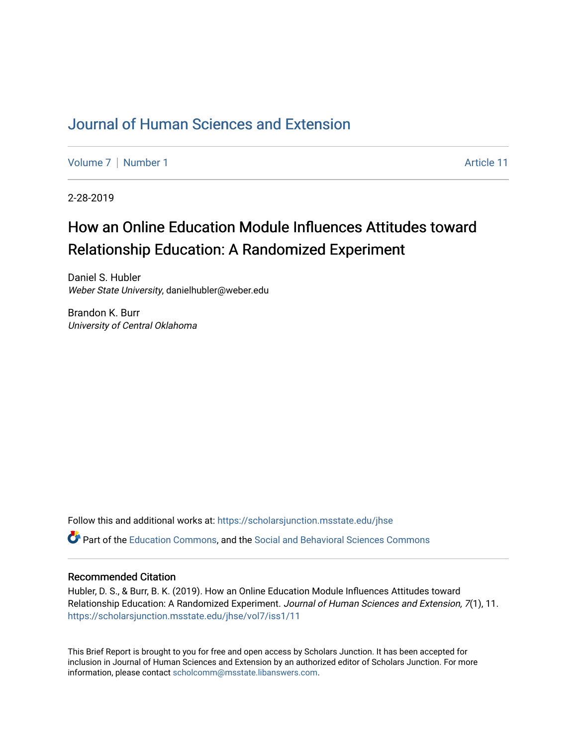## [Journal of Human Sciences and Extension](https://scholarsjunction.msstate.edu/jhse)

[Volume 7](https://scholarsjunction.msstate.edu/jhse/vol7) | [Number 1](https://scholarsjunction.msstate.edu/jhse/vol7/iss1) Article 11

2-28-2019

# How an Online Education Module Influences Attitudes toward Relationship Education: A Randomized Experiment

Daniel S. Hubler Weber State University, danielhubler@weber.edu

Brandon K. Burr University of Central Oklahoma

Follow this and additional works at: [https://scholarsjunction.msstate.edu/jhse](https://scholarsjunction.msstate.edu/jhse?utm_source=scholarsjunction.msstate.edu%2Fjhse%2Fvol7%2Fiss1%2F11&utm_medium=PDF&utm_campaign=PDFCoverPages)

Part of the [Education Commons](http://network.bepress.com/hgg/discipline/784?utm_source=scholarsjunction.msstate.edu%2Fjhse%2Fvol7%2Fiss1%2F11&utm_medium=PDF&utm_campaign=PDFCoverPages), and the [Social and Behavioral Sciences Commons](http://network.bepress.com/hgg/discipline/316?utm_source=scholarsjunction.msstate.edu%2Fjhse%2Fvol7%2Fiss1%2F11&utm_medium=PDF&utm_campaign=PDFCoverPages) 

#### Recommended Citation

Hubler, D. S., & Burr, B. K. (2019). How an Online Education Module Influences Attitudes toward Relationship Education: A Randomized Experiment. Journal of Human Sciences and Extension, 7(1), 11. [https://scholarsjunction.msstate.edu/jhse/vol7/iss1/11](https://scholarsjunction.msstate.edu/jhse/vol7/iss1/11?utm_source=scholarsjunction.msstate.edu%2Fjhse%2Fvol7%2Fiss1%2F11&utm_medium=PDF&utm_campaign=PDFCoverPages) 

This Brief Report is brought to you for free and open access by Scholars Junction. It has been accepted for inclusion in Journal of Human Sciences and Extension by an authorized editor of Scholars Junction. For more information, please contact [scholcomm@msstate.libanswers.com](mailto:scholcomm@msstate.libanswers.com).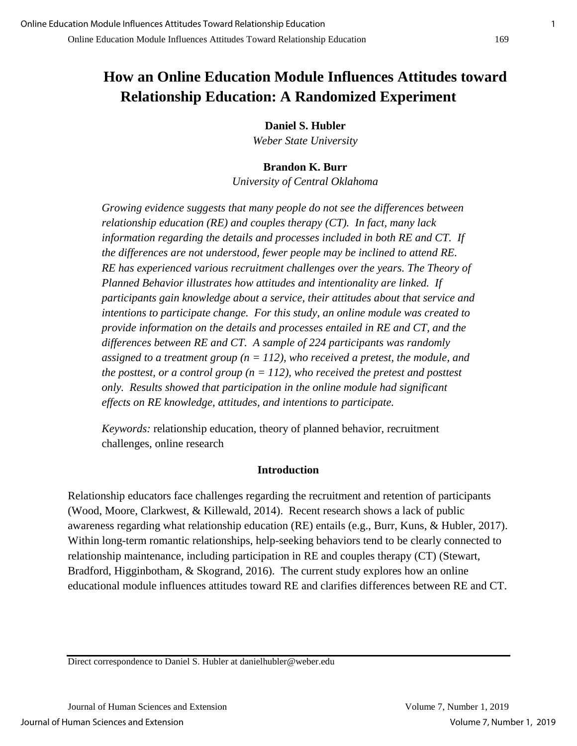## **How an Online Education Module Influences Attitudes toward Relationship Education: A Randomized Experiment**

**Daniel S. Hubler**

*Weber State University* 

## **Brandon K. Burr**

*University of Central Oklahoma*

*Growing evidence suggests that many people do not see the differences between relationship education (RE) and couples therapy (CT). In fact, many lack information regarding the details and processes included in both RE and CT. If the differences are not understood, fewer people may be inclined to attend RE. RE has experienced various recruitment challenges over the years. The Theory of Planned Behavior illustrates how attitudes and intentionality are linked. If participants gain knowledge about a service, their attitudes about that service and intentions to participate change. For this study, an online module was created to provide information on the details and processes entailed in RE and CT, and the differences between RE and CT. A sample of 224 participants was randomly assigned to a treatment group (n = 112), who received a pretest, the module, and the posttest, or a control group (n = 112), who received the pretest and posttest only. Results showed that participation in the online module had significant effects on RE knowledge, attitudes, and intentions to participate.* 

*Keywords:* relationship education, theory of planned behavior, recruitment challenges, online research

## **Introduction**

Relationship educators face challenges regarding the recruitment and retention of participants (Wood, Moore, Clarkwest, & Killewald, 2014). Recent research shows a lack of public awareness regarding what relationship education (RE) entails (e.g., Burr, Kuns, & Hubler, 2017). Within long-term romantic relationships, help-seeking behaviors tend to be clearly connected to relationship maintenance, including participation in RE and couples therapy (CT) (Stewart, Bradford, Higginbotham, & Skogrand, 2016). The current study explores how an online educational module influences attitudes toward RE and clarifies differences between RE and CT.

Direct correspondence to Daniel S. Hubler at danielhubler@weber.edu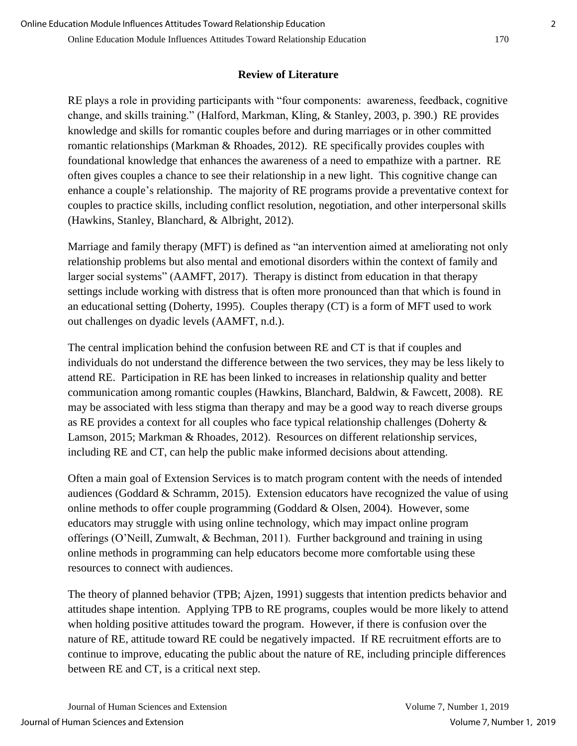## **Review of Literature**

RE plays a role in providing participants with "four components: awareness, feedback, cognitive change, and skills training." (Halford, Markman, Kling, & Stanley, 2003, p. 390.) RE provides knowledge and skills for romantic couples before and during marriages or in other committed romantic relationships (Markman & Rhoades, 2012). RE specifically provides couples with foundational knowledge that enhances the awareness of a need to empathize with a partner. RE often gives couples a chance to see their relationship in a new light. This cognitive change can enhance a couple's relationship. The majority of RE programs provide a preventative context for couples to practice skills, including conflict resolution, negotiation, and other interpersonal skills (Hawkins, Stanley, Blanchard, & Albright, 2012).

Marriage and family therapy (MFT) is defined as "an intervention aimed at ameliorating not only relationship problems but also mental and emotional disorders within the context of family and larger social systems" (AAMFT, 2017). Therapy is distinct from education in that therapy settings include working with distress that is often more pronounced than that which is found in an educational setting (Doherty, 1995). Couples therapy (CT) is a form of MFT used to work out challenges on dyadic levels (AAMFT, n.d.).

The central implication behind the confusion between RE and CT is that if couples and individuals do not understand the difference between the two services, they may be less likely to attend RE. Participation in RE has been linked to increases in relationship quality and better communication among romantic couples (Hawkins, Blanchard, Baldwin, & Fawcett, 2008). RE may be associated with less stigma than therapy and may be a good way to reach diverse groups as RE provides a context for all couples who face typical relationship challenges (Doherty & Lamson, 2015; Markman & Rhoades, 2012). Resources on different relationship services, including RE and CT, can help the public make informed decisions about attending.

Often a main goal of Extension Services is to match program content with the needs of intended audiences (Goddard & Schramm, 2015). Extension educators have recognized the value of using online methods to offer couple programming (Goddard & Olsen, 2004). However, some educators may struggle with using online technology, which may impact online program offerings (O'Neill, Zumwalt, & Bechman, 2011). Further background and training in using online methods in programming can help educators become more comfortable using these resources to connect with audiences.

The theory of planned behavior (TPB; Ajzen, 1991) suggests that intention predicts behavior and attitudes shape intention. Applying TPB to RE programs, couples would be more likely to attend when holding positive attitudes toward the program. However, if there is confusion over the nature of RE, attitude toward RE could be negatively impacted. If RE recruitment efforts are to continue to improve, educating the public about the nature of RE, including principle differences between RE and CT, is a critical next step.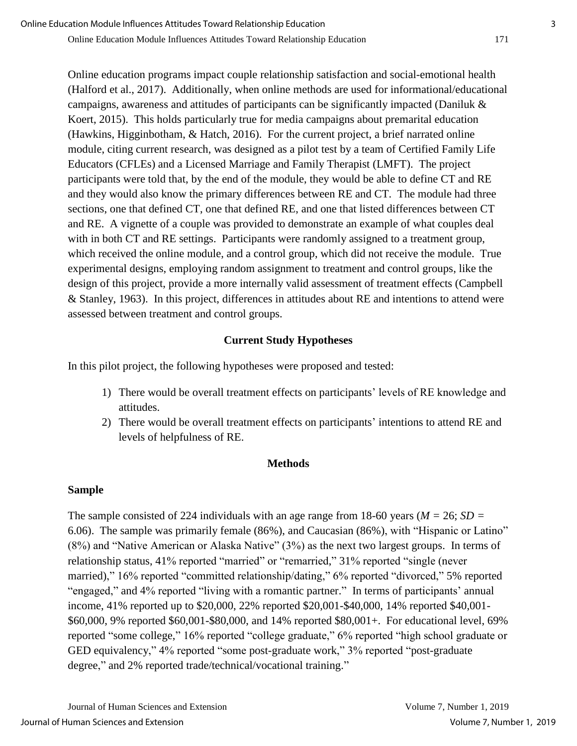Online education programs impact couple relationship satisfaction and social-emotional health (Halford et al., 2017). Additionally, when online methods are used for informational/educational campaigns, awareness and attitudes of participants can be significantly impacted (Daniluk & Koert, 2015). This holds particularly true for media campaigns about premarital education (Hawkins, Higginbotham, & Hatch, 2016). For the current project, a brief narrated online module, citing current research, was designed as a pilot test by a team of Certified Family Life Educators (CFLEs) and a Licensed Marriage and Family Therapist (LMFT). The project participants were told that, by the end of the module, they would be able to define CT and RE and they would also know the primary differences between RE and CT. The module had three sections, one that defined CT, one that defined RE, and one that listed differences between CT and RE. A vignette of a couple was provided to demonstrate an example of what couples deal with in both CT and RE settings. Participants were randomly assigned to a treatment group, which received the online module, and a control group, which did not receive the module. True experimental designs, employing random assignment to treatment and control groups, like the design of this project, provide a more internally valid assessment of treatment effects (Campbell & Stanley, 1963). In this project, differences in attitudes about RE and intentions to attend were assessed between treatment and control groups.

### **Current Study Hypotheses**

In this pilot project, the following hypotheses were proposed and tested:

- 1) There would be overall treatment effects on participants' levels of RE knowledge and attitudes.
- 2) There would be overall treatment effects on participants' intentions to attend RE and levels of helpfulness of RE.

## **Methods**

#### **Sample**

The sample consisted of 224 individuals with an age range from 18-60 years (*M =* 26; *SD =* 6.06). The sample was primarily female (86%), and Caucasian (86%), with "Hispanic or Latino" (8%) and "Native American or Alaska Native" (3%) as the next two largest groups. In terms of relationship status, 41% reported "married" or "remarried," 31% reported "single (never married)," 16% reported "committed relationship/dating," 6% reported "divorced," 5% reported "engaged," and 4% reported "living with a romantic partner." In terms of participants' annual income, 41% reported up to \$20,000, 22% reported \$20,001-\$40,000, 14% reported \$40,001- \$60,000, 9% reported \$60,001-\$80,000, and 14% reported \$80,001+. For educational level, 69% reported "some college," 16% reported "college graduate," 6% reported "high school graduate or GED equivalency," 4% reported "some post-graduate work," 3% reported "post-graduate degree," and 2% reported trade/technical/vocational training."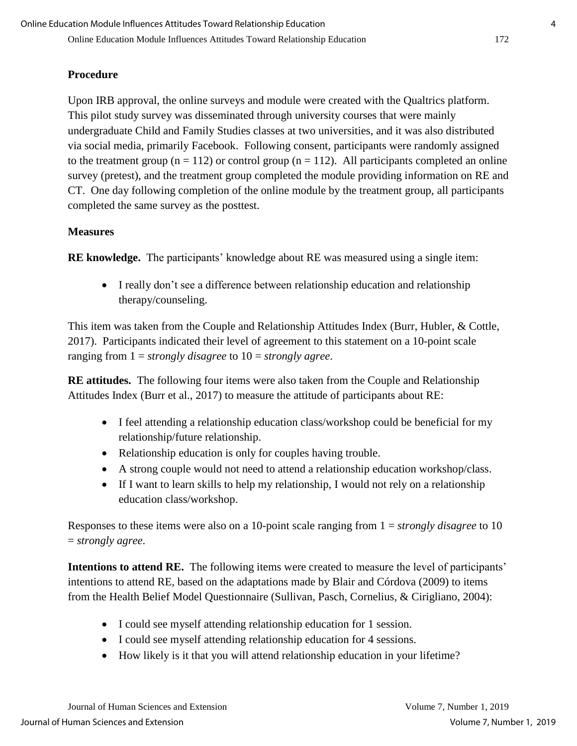## **Procedure**

Upon IRB approval, the online surveys and module were created with the Qualtrics platform. This pilot study survey was disseminated through university courses that were mainly undergraduate Child and Family Studies classes at two universities, and it was also distributed via social media, primarily Facebook. Following consent, participants were randomly assigned to the treatment group ( $n = 112$ ) or control group ( $n = 112$ ). All participants completed an online survey (pretest), and the treatment group completed the module providing information on RE and CT. One day following completion of the online module by the treatment group, all participants completed the same survey as the posttest.

### **Measures**

**RE knowledge.** The participants' knowledge about RE was measured using a single item:

 I really don't see a difference between relationship education and relationship therapy/counseling.

This item was taken from the Couple and Relationship Attitudes Index (Burr, Hubler, & Cottle, 2017). Participants indicated their level of agreement to this statement on a 10-point scale ranging from 1 = *strongly disagree* to 10 = *strongly agree*.

**RE attitudes.** The following four items were also taken from the Couple and Relationship Attitudes Index (Burr et al., 2017) to measure the attitude of participants about RE:

- I feel attending a relationship education class/workshop could be beneficial for my relationship/future relationship.
- Relationship education is only for couples having trouble.
- A strong couple would not need to attend a relationship education workshop/class.
- If I want to learn skills to help my relationship, I would not rely on a relationship education class/workshop.

Responses to these items were also on a 10-point scale ranging from 1 = *strongly disagree* to 10 = *strongly agree*.

**Intentions to attend RE.** The following items were created to measure the level of participants' intentions to attend RE, based on the adaptations made by Blair and Córdova (2009) to items from the Health Belief Model Questionnaire (Sullivan, Pasch, Cornelius, & Cirigliano, 2004):

- I could see myself attending relationship education for 1 session.
- I could see myself attending relationship education for 4 sessions.
- How likely is it that you will attend relationship education in your lifetime?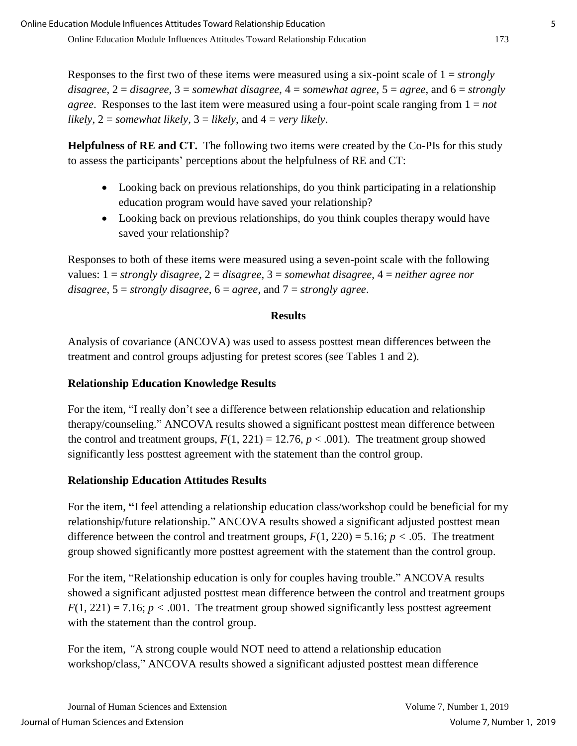Responses to the first two of these items were measured using a six-point scale of 1 = *strongly disagree*,  $2 = \text{disagree}$ ,  $3 = \text{somewhat disagree}$ ,  $4 = \text{somewhat agree}$ ,  $5 = \text{agree}$ , and  $6 = \text{strongly}$ *agree*. Responses to the last item were measured using a four-point scale ranging from 1 = *not likely*, 2 = *somewhat likely*, 3 = *likely*, and 4 = *very likely*.

**Helpfulness of RE and CT.** The following two items were created by the Co-PIs for this study to assess the participants' perceptions about the helpfulness of RE and CT:

- Looking back on previous relationships, do you think participating in a relationship education program would have saved your relationship?
- Looking back on previous relationships, do you think couples therapy would have saved your relationship?

Responses to both of these items were measured using a seven-point scale with the following values: 1 = *strongly disagree*, 2 = *disagree*, 3 = *somewhat disagree*, 4 = *neither agree nor disagree*, 5 = *strongly disagree*, 6 = *agree*, and 7 = *strongly agree*.

#### **Results**

Analysis of covariance (ANCOVA) was used to assess posttest mean differences between the treatment and control groups adjusting for pretest scores (see Tables 1 and 2).

#### **Relationship Education Knowledge Results**

For the item, "I really don't see a difference between relationship education and relationship therapy/counseling." ANCOVA results showed a significant posttest mean difference between the control and treatment groups,  $F(1, 221) = 12.76$ ,  $p < .001$ ). The treatment group showed significantly less posttest agreement with the statement than the control group.

#### **Relationship Education Attitudes Results**

For the item, **"**I feel attending a relationship education class/workshop could be beneficial for my relationship/future relationship." ANCOVA results showed a significant adjusted posttest mean difference between the control and treatment groups,  $F(1, 220) = 5.16$ ;  $p < .05$ . The treatment group showed significantly more posttest agreement with the statement than the control group.

For the item, "Relationship education is only for couples having trouble." ANCOVA results showed a significant adjusted posttest mean difference between the control and treatment groups  $F(1, 221) = 7.16$ ;  $p < .001$ . The treatment group showed significantly less posttest agreement with the statement than the control group.

For the item, *"*A strong couple would NOT need to attend a relationship education workshop/class," ANCOVA results showed a significant adjusted posttest mean difference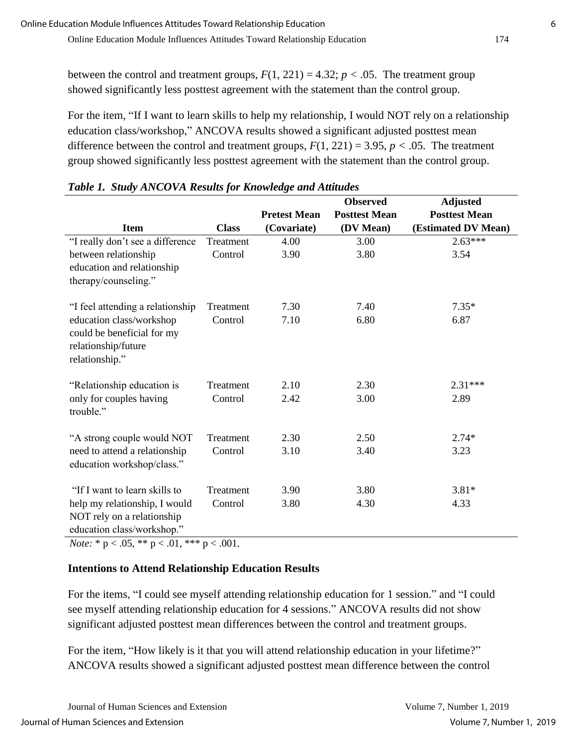between the control and treatment groups,  $F(1, 221) = 4.32$ ;  $p < .05$ . The treatment group showed significantly less posttest agreement with the statement than the control group.

For the item, "If I want to learn skills to help my relationship, I would NOT rely on a relationship education class/workshop," ANCOVA results showed a significant adjusted posttest mean difference between the control and treatment groups,  $F(1, 221) = 3.95$ ,  $p < .05$ . The treatment group showed significantly less posttest agreement with the statement than the control group.

|                                                                                                 |              |                     | <b>Observed</b>      | <b>Adjusted</b>      |
|-------------------------------------------------------------------------------------------------|--------------|---------------------|----------------------|----------------------|
|                                                                                                 |              | <b>Pretest Mean</b> | <b>Posttest Mean</b> | <b>Posttest Mean</b> |
| <b>Item</b>                                                                                     | <b>Class</b> | (Covariate)         | (DV Mean)            | (Estimated DV Mean)  |
| "I really don't see a difference                                                                | Treatment    | 4.00                | 3.00                 | $2.63***$            |
| between relationship                                                                            | Control      | 3.90                | 3.80                 | 3.54                 |
| education and relationship                                                                      |              |                     |                      |                      |
| therapy/counseling."                                                                            |              |                     |                      |                      |
| "I feel attending a relationship                                                                | Treatment    | 7.30                | 7.40                 | $7.35*$              |
| education class/workshop<br>could be beneficial for my<br>relationship/future<br>relationship." | Control      | 7.10                | 6.80                 | 6.87                 |
| "Relationship education is                                                                      | Treatment    | 2.10                | 2.30                 | $2.31***$            |
| only for couples having<br>trouble."                                                            | Control      | 2.42                | 3.00                 | 2.89                 |
| "A strong couple would NOT                                                                      | Treatment    | 2.30                | 2.50                 | $2.74*$              |
| need to attend a relationship<br>education workshop/class."                                     | Control      | 3.10                | 3.40                 | 3.23                 |
| "If I want to learn skills to                                                                   | Treatment    | 3.90                | 3.80                 | $3.81*$              |
| help my relationship, I would<br>NOT rely on a relationship<br>education class/workshop."       | Control      | 3.80                | 4.30                 | 4.33                 |

| Table 1. Study ANCOVA Results for Knowledge and Attitudes |  |  |
|-----------------------------------------------------------|--|--|
|                                                           |  |  |

*Note:* \* p < .05, \*\* p < .01, \*\*\* p < .001.

## **Intentions to Attend Relationship Education Results**

For the items, "I could see myself attending relationship education for 1 session." and "I could see myself attending relationship education for 4 sessions." ANCOVA results did not show significant adjusted posttest mean differences between the control and treatment groups.

For the item, "How likely is it that you will attend relationship education in your lifetime?" ANCOVA results showed a significant adjusted posttest mean difference between the control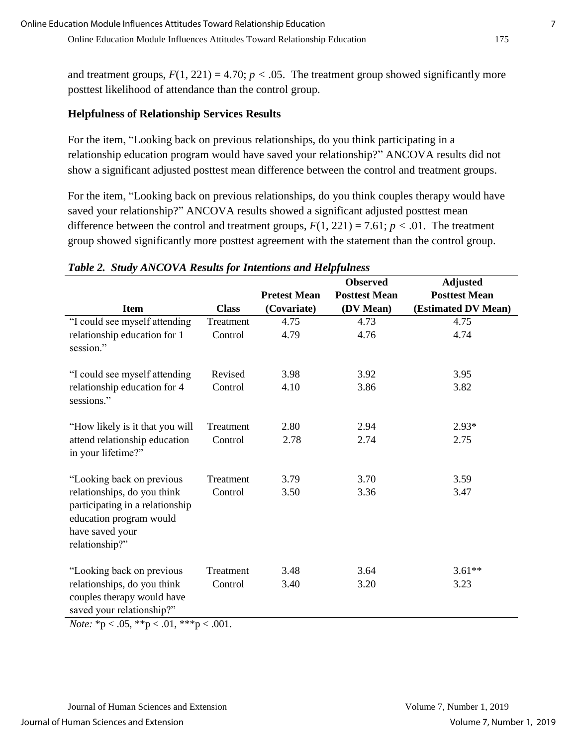and treatment groups,  $F(1, 221) = 4.70$ ;  $p < .05$ . The treatment group showed significantly more posttest likelihood of attendance than the control group.

#### **Helpfulness of Relationship Services Results**

For the item, "Looking back on previous relationships, do you think participating in a relationship education program would have saved your relationship?" ANCOVA results did not show a significant adjusted posttest mean difference between the control and treatment groups.

For the item, "Looking back on previous relationships, do you think couples therapy would have saved your relationship?" ANCOVA results showed a significant adjusted posttest mean difference between the control and treatment groups,  $F(1, 221) = 7.61$ ;  $p < .01$ . The treatment group showed significantly more posttest agreement with the statement than the control group.

|                                                                                                                                                                |              |                     | <b>Observed</b>      | <b>Adjusted</b>      |
|----------------------------------------------------------------------------------------------------------------------------------------------------------------|--------------|---------------------|----------------------|----------------------|
|                                                                                                                                                                |              | <b>Pretest Mean</b> | <b>Posttest Mean</b> | <b>Posttest Mean</b> |
| <b>Item</b>                                                                                                                                                    | <b>Class</b> | (Covariate)         | (DV Mean)            | (Estimated DV Mean)  |
| "I could see myself attending                                                                                                                                  | Treatment    | 4.75                | 4.73                 | 4.75                 |
| relationship education for 1<br>session."                                                                                                                      | Control      | 4.79                | 4.76                 | 4.74                 |
| "I could see myself attending                                                                                                                                  | Revised      | 3.98                | 3.92                 | 3.95                 |
| relationship education for 4<br>sessions."                                                                                                                     | Control      | 4.10                | 3.86                 | 3.82                 |
| "How likely is it that you will                                                                                                                                | Treatment    | 2.80                | 2.94                 | $2.93*$              |
| attend relationship education<br>in your lifetime?"                                                                                                            | Control      | 2.78                | 2.74                 | 2.75                 |
| "Looking back on previous                                                                                                                                      | Treatment    | 3.79                | 3.70                 | 3.59                 |
| relationships, do you think<br>participating in a relationship<br>education program would<br>have saved your<br>relationship?"                                 | Control      | 3.50                | 3.36                 | 3.47                 |
| "Looking back on previous                                                                                                                                      | Treatment    | 3.48                | 3.64                 | $3.61**$             |
| relationships, do you think<br>couples therapy would have<br>saved your relationship?"<br>$N_{\text{obs}}$ * $\approx 0.5$ ** $\approx 0.1$ *** $\approx 0.01$ | Control      | 3.40                | 3.20                 | 3.23                 |

### *Table 2. Study ANCOVA Results for Intentions and Helpfulness*

*Note:*  ${}^*p < .05$ ,  ${}^*p < .01$ ,  ${}^*{}^*p < .001$ .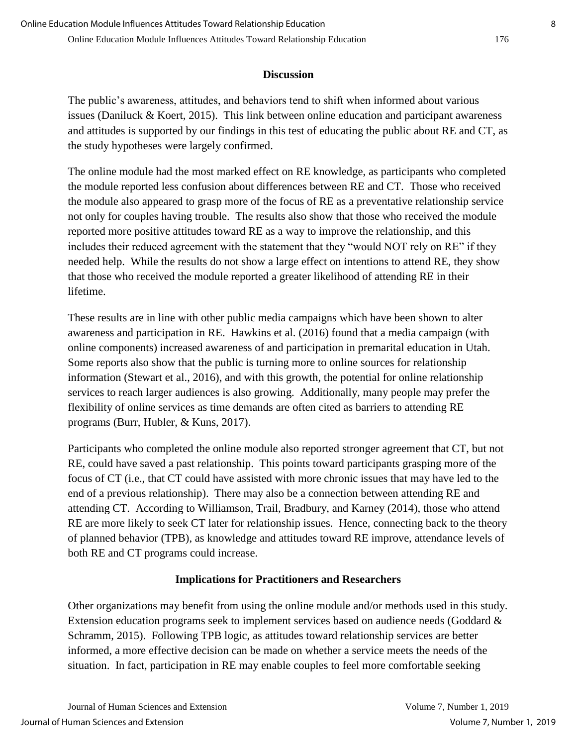## **Discussion**

The public's awareness, attitudes, and behaviors tend to shift when informed about various issues (Daniluck & Koert, 2015). This link between online education and participant awareness and attitudes is supported by our findings in this test of educating the public about RE and CT, as the study hypotheses were largely confirmed.

The online module had the most marked effect on RE knowledge, as participants who completed the module reported less confusion about differences between RE and CT. Those who received the module also appeared to grasp more of the focus of RE as a preventative relationship service not only for couples having trouble. The results also show that those who received the module reported more positive attitudes toward RE as a way to improve the relationship, and this includes their reduced agreement with the statement that they "would NOT rely on RE" if they needed help. While the results do not show a large effect on intentions to attend RE, they show that those who received the module reported a greater likelihood of attending RE in their lifetime.

These results are in line with other public media campaigns which have been shown to alter awareness and participation in RE. Hawkins et al. (2016) found that a media campaign (with online components) increased awareness of and participation in premarital education in Utah. Some reports also show that the public is turning more to online sources for relationship information (Stewart et al., 2016), and with this growth, the potential for online relationship services to reach larger audiences is also growing. Additionally, many people may prefer the flexibility of online services as time demands are often cited as barriers to attending RE programs (Burr, Hubler, & Kuns, 2017).

Participants who completed the online module also reported stronger agreement that CT, but not RE, could have saved a past relationship. This points toward participants grasping more of the focus of CT (i.e., that CT could have assisted with more chronic issues that may have led to the end of a previous relationship). There may also be a connection between attending RE and attending CT. According to Williamson, Trail, Bradbury, and Karney (2014), those who attend RE are more likely to seek CT later for relationship issues. Hence, connecting back to the theory of planned behavior (TPB), as knowledge and attitudes toward RE improve, attendance levels of both RE and CT programs could increase.

## **Implications for Practitioners and Researchers**

Other organizations may benefit from using the online module and/or methods used in this study. Extension education programs seek to implement services based on audience needs (Goddard & Schramm, 2015). Following TPB logic, as attitudes toward relationship services are better informed, a more effective decision can be made on whether a service meets the needs of the situation. In fact, participation in RE may enable couples to feel more comfortable seeking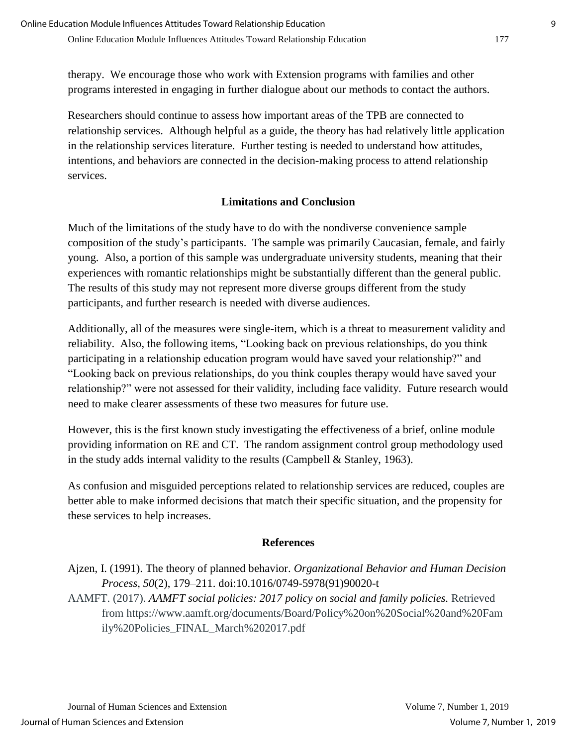therapy. We encourage those who work with Extension programs with families and other programs interested in engaging in further dialogue about our methods to contact the authors.

Researchers should continue to assess how important areas of the TPB are connected to relationship services. Although helpful as a guide, the theory has had relatively little application in the relationship services literature. Further testing is needed to understand how attitudes, intentions, and behaviors are connected in the decision-making process to attend relationship services.

## **Limitations and Conclusion**

Much of the limitations of the study have to do with the nondiverse convenience sample composition of the study's participants. The sample was primarily Caucasian, female, and fairly young. Also, a portion of this sample was undergraduate university students, meaning that their experiences with romantic relationships might be substantially different than the general public. The results of this study may not represent more diverse groups different from the study participants, and further research is needed with diverse audiences.

Additionally, all of the measures were single-item, which is a threat to measurement validity and reliability. Also, the following items, "Looking back on previous relationships, do you think participating in a relationship education program would have saved your relationship?" and "Looking back on previous relationships, do you think couples therapy would have saved your relationship?" were not assessed for their validity, including face validity. Future research would need to make clearer assessments of these two measures for future use.

However, this is the first known study investigating the effectiveness of a brief, online module providing information on RE and CT. The random assignment control group methodology used in the study adds internal validity to the results (Campbell & Stanley, 1963).

As confusion and misguided perceptions related to relationship services are reduced, couples are better able to make informed decisions that match their specific situation, and the propensity for these services to help increases.

## **References**

Ajzen, I. (1991). The theory of planned behavior. *Organizational Behavior and Human Decision Process, 50*(2), 179–211. doi:10.1016/0749-5978(91)90020-t AAMFT. (2017). *AAMFT social policies: 2017 policy on social and family policies.* Retrieved from https://www.aamft.org/documents/Board/Policy%20on%20Social%20and%20Fam ily%20Policies\_FINAL\_March%202017.pdf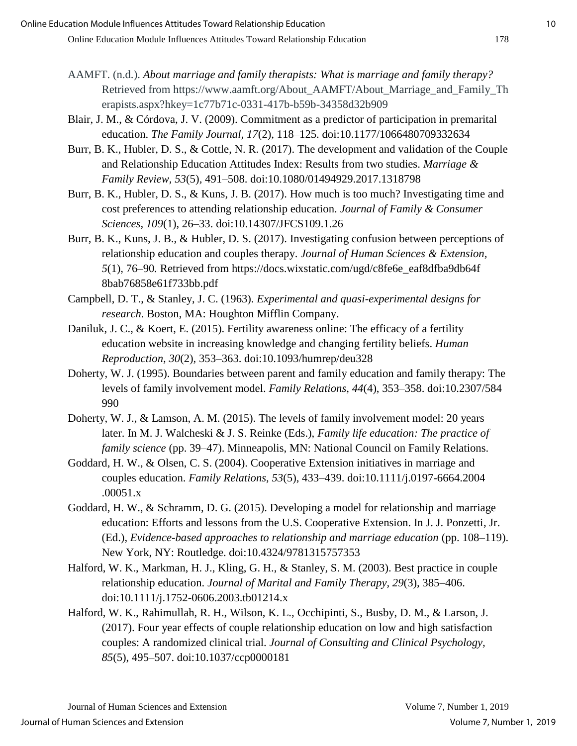- AAMFT. (n.d.). *About marriage and family therapists: What is marriage and family therapy?* Retrieved from https://www.aamft.org/About\_AAMFT/About\_Marriage\_and\_Family\_Th erapists.aspx?hkey=1c77b71c-0331-417b-b59b-34358d32b909
- Blair, J. M., & Córdova, J. V. (2009). Commitment as a predictor of participation in premarital education. *The Family Journal, 17*(2)*,* 118–125. doi:10.1177/1066480709332634
- Burr, B. K., Hubler, D. S., & Cottle, N. R. (2017). The development and validation of the Couple and Relationship Education Attitudes Index: Results from two studies. *Marriage & Family Review, 53*(5)*,* 491–508. doi:10.1080/01494929.2017.1318798
- Burr, B. K., Hubler, D. S., & Kuns, J. B. (2017). How much is too much? Investigating time and cost preferences to attending relationship education. *Journal of Family & Consumer Sciences, 109*(1), 26–33. doi:10.14307/JFCS109.1.26
- Burr, B. K., Kuns, J. B., & Hubler, D. S. (2017). Investigating confusion between perceptions of relationship education and couples therapy. *Journal of Human Sciences & Extension, 5*(1)*,* 76–90*.* Retrieved from https://docs.wixstatic.com/ugd/c8fe6e\_eaf8dfba9db64f 8bab76858e61f733bb.pdf
- Campbell, D. T., & Stanley, J. C. (1963). *Experimental and quasi-experimental designs for research*. Boston, MA: Houghton Mifflin Company.
- Daniluk, J. C., & Koert, E. (2015). Fertility awareness online: The efficacy of a fertility education website in increasing knowledge and changing fertility beliefs. *Human Reproduction, 30*(2)*,* 353–363. doi:10.1093/humrep/deu328
- Doherty, W. J. (1995). Boundaries between parent and family education and family therapy: The levels of family involvement model. *Family Relations, 44*(4), 353–358. doi:10.2307/584 990
- Doherty, W. J., & Lamson, A. M. (2015). The levels of family involvement model: 20 years later. In M. J. Walcheski & J. S. Reinke (Eds.), *Family life education: The practice of family science* (pp. 39–47). Minneapolis, MN: National Council on Family Relations.
- Goddard, H. W., & Olsen, C. S. (2004). Cooperative Extension initiatives in marriage and couples education. *Family Relations, 53*(5), 433–439. doi:10.1111/j.0197-6664.2004 .00051.x
- Goddard, H. W., & Schramm, D. G. (2015). Developing a model for relationship and marriage education: Efforts and lessons from the U.S. Cooperative Extension. In J. J. Ponzetti, Jr. (Ed.), *Evidence-based approaches to relationship and marriage education* (pp. 108–119). New York, NY: Routledge. doi:10.4324/9781315757353
- Halford, W. K., Markman, H. J., Kling, G. H., & Stanley, S. M. (2003). Best practice in couple relationship education. *Journal of Marital and Family Therapy, 29*(3)*,* 385–406. doi:10.1111/j.1752-0606.2003.tb01214.x
- Halford, W. K., Rahimullah, R. H., Wilson, K. L., Occhipinti, S., Busby, D. M., & Larson, J. (2017). Four year effects of couple relationship education on low and high satisfaction couples: A randomized clinical trial. *Journal of Consulting and Clinical Psychology, 85*(5), 495–507. doi:10.1037/ccp0000181